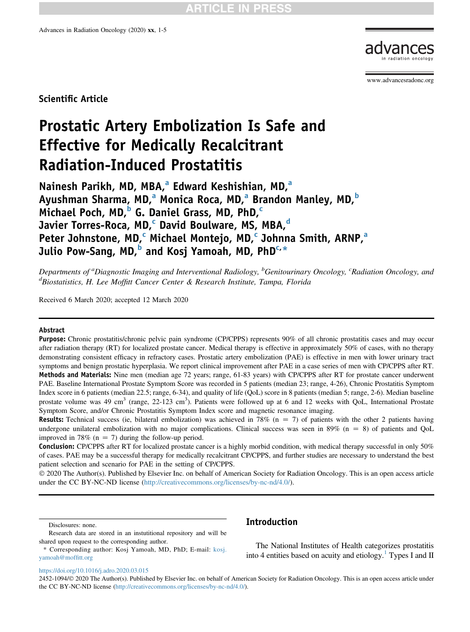

<www.advancesradonc.org>

Scientific Article

# Prostatic Artery Embolization Is Safe and Effective for Medically Recalcitrant Radiation-Induced Prostatitis

N[a](#page-0-0)inesh Parikh, MD, MBA,<sup>a</sup> Edward Keshishian, MD,<sup>a</sup> Ayushm[a](#page-0-0)n Sharma, MD,<sup>a</sup> Monica Roca, MD,<sup>a</sup> Brandon Manley, MD,<sup>[b](#page-0-0)</sup> Mi[c](#page-0-0)hael Poch, MD, $b$  G. Daniel Grass, MD, PhD, $c$ Javier Torres-Roca, MD,<sup>c</sup> Davi[d](#page-0-0) Boulware, MS, MBA,<sup>d</sup> Peter Johnstone, MD,<sup>[c](#page-0-0)</sup> Mich[a](#page-0-0)el Montejo, MD,<sup>c</sup> Johnna Smith, ARNP,<sup>a</sup> Julio Pow-Sang, MD,<sup>[b](#page-0-0)</sup> and Kosj Yamoah, MD, PhD<sup>[c,](#page-0-0)</sup>[\\*](#page-0-1)

<span id="page-0-0"></span>Departments of <sup>a</sup>Diagnostic Imaging and Interventional Radiology, <sup>b</sup>Genitourinary Oncology, <sup>c</sup>Radiation Oncology, and d<br>Biostatistics, H. Lee Moffitt Cancer Center & Research Institute, Tampa, Florida

Received 6 March 2020; accepted 12 March 2020

#### Abstract

Purpose: Chronic prostatitis/chronic pelvic pain syndrome (CP/CPPS) represents 90% of all chronic prostatitis cases and may occur after radiation therapy (RT) for localized prostate cancer. Medical therapy is effective in approximately 50% of cases, with no therapy demonstrating consistent efficacy in refractory cases. Prostatic artery embolization (PAE) is effective in men with lower urinary tract symptoms and benign prostatic hyperplasia. We report clinical improvement after PAE in a case series of men with CP/CPPS after RT. Methods and Materials: Nine men (median age 72 years; range, 61-83 years) with CP/CPPS after RT for prostate cancer underwent PAE. Baseline International Prostate Symptom Score was recorded in 5 patients (median 23; range, 4-26), Chronic Prostatitis Symptom Index score in 6 patients (median 22.5; range, 6-34), and quality of life (QoL) score in 8 patients (median 5; range, 2-6). Median baseline prostate volume was 49 cm<sup>3</sup> (range, 22-123 cm<sup>3</sup>). Patients were followed up at 6 and 12 weeks with QoL, International Prostate Symptom Score, and/or Chronic Prostatitis Symptom Index score and magnetic resonance imaging.

**Results:** Technical success (ie, bilateral embolization) was achieved in 78% ( $n = 7$ ) of patients with the other 2 patients having undergone unilateral embolization with no major complications. Clinical success was seen in  $89\%$  ( $n = 8$ ) of patients and QoL improved in 78% ( $n = 7$ ) during the follow-up period.

**Conclusion:** CP/CPPS after RT for localized prostate cancer is a highly morbid condition, with medical therapy successful in only 50% of cases. PAE may be a successful therapy for medically recalcitrant CP/CPPS, and further studies are necessary to understand the best patient selection and scenario for PAE in the setting of CP/CPPS.

 2020 The Author(s). Published by Elsevier Inc. on behalf of American Society for Radiation Oncology. This is an open access article under the CC BY-NC-ND license ([http://creativecommons.org/licenses/by-nc-nd/4.0/\)](http://creativecommons.org/licenses/by-nc-nd/4.0/).

Disclosures: none.

# Introduction

The National Institutes of Health categorizes prostatitis into 4 entities based on acuity and etiology.<sup>1</sup> Types I and II

https://doi.org/10.1016/j.adro.2020.03.015

2452-1094/© 2020 The Author(s). Published by Elsevier Inc. on behalf of American Society for Radiation Oncology. This is an open access article under the CC BY-NC-ND license (<http://creativecommons.org/licenses/by-nc-nd/4.0/>).

Research data are stored in an instutitional repository and will be shared upon request to the corresponding author.

<span id="page-0-1"></span><sup>\*</sup> Corresponding author: Kosj Yamoah, MD, PhD; E-mail: kosj. yamoah@moffitt.org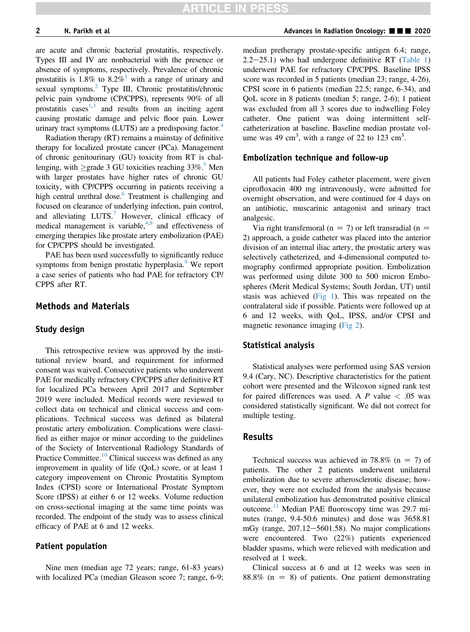are acute and chronic bacterial prostatitis, respectively. Types III and IV are nonbacterial with the presence or absence of symptoms, respectively. Prevalence of chronic prostatitis is [1](#page-4-0).8% to 8.2%<sup>1</sup> with a range of urinary and sexual symptoms.<sup>2</sup> Type III, Chronic prostatitis/chronic pelvic pain syndrome (CP/CPPS), represents 90% of all prostatitis cases $1,3$  $1,3$  and results from an inciting agent causing prostatic damage and pelvic floor pain. Lower urinary tract symptoms (LUTS) are a predisposing factor. $4$ 

Radiation therapy (RT) remains a mainstay of definitive therapy for localized prostate cancer (PCa). Management of chronic genitourinary (GU) toxicity from RT is challenging, with  $\geq$  grade 3 GU toxicities reaching 33%.<sup>5</sup> Men with larger prostates have higher rates of chronic GU toxicity, with CP/CPPS occurring in patients receiving a high central urethral dose.<sup>6</sup> Treatment is challenging and focused on clearance of underlying infection, pain control, and alleviating  $LUTS<sup>7</sup>$  $LUTS<sup>7</sup>$  $LUTS<sup>7</sup>$  However, clinical efficacy of medical management is variable, $4,8$  $4,8$  and effectiveness of emerging therapies like prostate artery embolization (PAE) for CP/CPPS should be investigated.

PAE has been used successfully to significantly reduce symptoms from benign prostatic hyperplasia.<sup>[9](#page-4-8)</sup> We report a case series of patients who had PAE for refractory CP/ CPPS after RT.

## Methods and Materials

### Study design

This retrospective review was approved by the institutional review board, and requirement for informed consent was waived. Consecutive patients who underwent PAE for medically refractory CP/CPPS after definitive RT for localized PCa between April 2017 and September 2019 were included. Medical records were reviewed to collect data on technical and clinical success and complications. Technical success was defined as bilateral prostatic artery embolization. Complications were classified as either major or minor according to the guidelines of the Society of Interventional Radiology Standards of Practice Committee. $10$  Clinical success was defined as any improvement in quality of life (QoL) score, or at least 1 category improvement on Chronic Prostatitis Symptom Index (CPSI) score or International Prostate Symptom Score (IPSS) at either 6 or 12 weeks. Volume reduction on cross-sectional imaging at the same time points was recorded. The endpoint of the study was to assess clinical efficacy of PAE at 6 and 12 weeks.

#### Patient population

Nine men (median age 72 years; range, 61-83 years) with localized PCa (median Gleason score 7; range, 6-9; median pretherapy prostate-specific antigen 6.4; range,  $2.2-25.1$ ) who had undergone definitive RT ([Table 1\)](#page-3-0) underwent PAE for refractory CP/CPPS. Baseline IPSS score was recorded in 5 patients (median 23; range, 4-26), CPSI score in 6 patients (median 22.5; range, 6-34), and QoL score in 8 patients (median 5; range, 2-6); 1 patient was excluded from all 3 scores due to indwelling Foley catheter. One patient was doing intermittent selfcatheterization at baseline. Baseline median prostate volume was 49 cm<sup>3</sup>, with a range of 22 to 123 cm<sup>3</sup>.

#### Embolization technique and follow-up

All patients had Foley catheter placement, were given ciprofloxacin 400 mg intravenously, were admitted for overnight observation, and were continued for 4 days on an antibiotic, muscarinic antagonist and urinary tract analgesic.

Via right transfemoral ( $n = 7$ ) or left transradial ( $n =$ 2) approach, a guide catheter was placed into the anterior division of an internal iliac artery, the prostatic artery was selectively catheterized, and 4-dimensional computed tomography confirmed appropriate position. Embolization was performed using dilute 300 to 500 micron Embospheres (Merit Medical Systems; South Jordan, UT) until stasis was achieved [\(Fig 1](#page-2-0)). This was repeated on the contralateral side if possible. Patients were followed up at 6 and 12 weeks, with QoL, IPSS, and/or CPSI and magnetic resonance imaging [\(Fig 2\)](#page-2-1).

#### Statistical analysis

Statistical analyses were performed using SAS version 9.4 (Cary, NC). Descriptive characteristics for the patient cohort were presented and the Wilcoxon signed rank test for paired differences was used. A  $P$  value  $\lt$  .05 was considered statistically significant. We did not correct for multiple testing.

#### Results

Technical success was achieved in 78.8% ( $n = 7$ ) of patients. The other 2 patients underwent unilateral embolization due to severe atherosclerotic disease; however, they were not excluded from the analysis because unilateral embolization has demonstrated positive clinical outcome.<sup>[11](#page-4-10)</sup> Median PAE fluoroscopy time was 29.7 minutes (range, 9.4-50.6 minutes) and dose was 3658.81 mGy (range,  $207.12 - 5601.58$ ). No major complications were encountered. Two (22%) patients experienced bladder spasms, which were relieved with medication and resolved at 1 week.

Clinical success at 6 and at 12 weeks was seen in  $88.8\%$  (n = 8) of patients. One patient demonstrating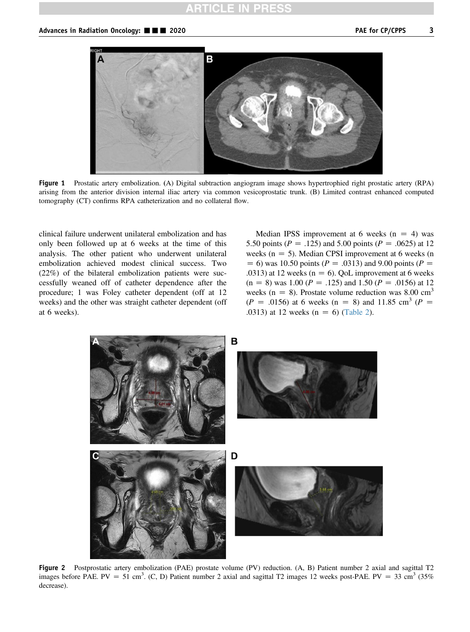# **RTICLE IN PRES**

<span id="page-2-0"></span>

Figure 1 Prostatic artery embolization. (A) Digital subtraction angiogram image shows hypertrophied right prostatic artery (RPA) arising from the anterior division internal iliac artery via common vesicoprostatic trunk. (B) Limited contrast enhanced computed tomography (CT) confirms RPA catheterization and no collateral flow.

clinical failure underwent unilateral embolization and has only been followed up at 6 weeks at the time of this analysis. The other patient who underwent unilateral embolization achieved modest clinical success. Two (22%) of the bilateral embolization patients were successfully weaned off of catheter dependence after the procedure; 1 was Foley catheter dependent (off at 12 weeks) and the other was straight catheter dependent (off at 6 weeks).

Median IPSS improvement at 6 weeks  $(n = 4)$  was 5.50 points ( $P = .125$ ) and 5.00 points ( $P = .0625$ ) at 12 weeks ( $n = 5$ ). Median CPSI improvement at 6 weeks (n  $= 6$ ) was 10.50 points ( $P = .0313$ ) and 9.00 points ( $P =$ .0313) at 12 weeks ( $n = 6$ ). QoL improvement at 6 weeks  $(n = 8)$  was 1.00 ( $P = .125$ ) and 1.50 ( $P = .0156$ ) at 12 weeks (n = 8). Prostate volume reduction was 8.00  $cm<sup>3</sup>$  $(P = .0156)$  at 6 weeks (n = 8) and 11.85 cm<sup>3</sup> (P = .0313) at 12 weeks  $(n = 6)$  [\(Table 2\)](#page-4-11).

<span id="page-2-1"></span>

Figure 2 Postprostatic artery embolization (PAE) prostate volume (PV) reduction. (A, B) Patient number 2 axial and sagittal T2 images before PAE. PV = 51 cm<sup>3</sup>. (C, D) Patient number 2 axial and sagittal T2 images 12 weeks post-PAE. PV = 33 cm<sup>3</sup> (35%) decrease).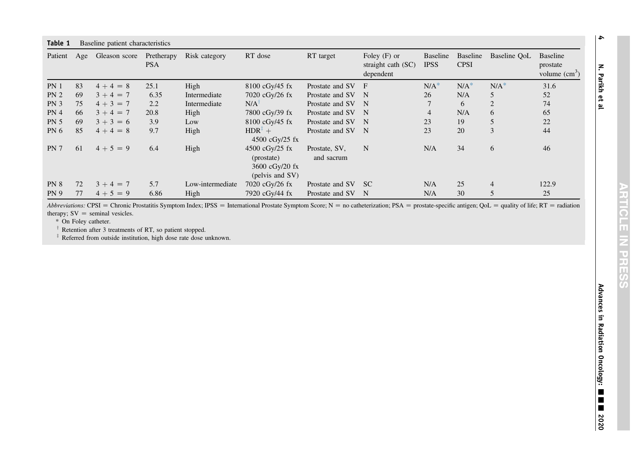<span id="page-3-0"></span>

| Table 1<br>Baseline patient characteristics |    |               |                          |                  |                                                                       |                             |                                                     |                         |                         |              |                                               |
|---------------------------------------------|----|---------------|--------------------------|------------------|-----------------------------------------------------------------------|-----------------------------|-----------------------------------------------------|-------------------------|-------------------------|--------------|-----------------------------------------------|
| Patient Age                                 |    | Gleason score | Pretherapy<br><b>PSA</b> | Risk category    | RT dose                                                               | RT target                   | Foley $(F)$ or<br>straight cath $(SC)$<br>dependent | Baseline<br><b>IPSS</b> | Baseline<br><b>CPSI</b> | Baseline QoL | <b>Baseline</b><br>prostate<br>volume $(cm3)$ |
| PN <sub>1</sub>                             | 83 | $4+4=8$       | 25.1                     | High             | $8100 \text{ cGy} / 45 \text{ fx}$                                    | Prostate and SV             | F                                                   | $N/A^*$                 | $N/A^*$                 | $N/A^*$      | 31.6                                          |
| PN <sub>2</sub>                             | 69 | $3 + 4 = 7$   | 6.35                     | Intermediate     | 7020 cGy/26 fx                                                        | Prostate and SV             | $\mathbf N$                                         | 26                      | N/A                     | 5            | 52                                            |
| PN <sub>3</sub>                             | 75 | $4 + 3 = 7$   | 2.2                      | Intermediate     | $N/A$ <sup>T</sup>                                                    | Prostate and SV             | - N                                                 |                         | 6                       | 2            | 74                                            |
| PN <sub>4</sub>                             | 66 | $3 + 4 = 7$   | 20.8                     | High             | 7800 cGy/39 fx                                                        | Prostate and SV             | -N                                                  | $\overline{4}$          | N/A                     | 6            | 65                                            |
| <b>PN 5</b>                                 | 69 | $3 + 3 = 6$   | 3.9                      | Low              | 8100 cGy/45 fx                                                        | Prostate and SV             | -N                                                  | 23                      | 19                      |              | 22                                            |
| PN <sub>6</sub>                             | 85 | $4+4=8$       | 9.7                      | High             | $HDR^{\ddagger}$ +<br>4500 $cGy/25$ fx                                | Prostate and SV             | - N                                                 | 23                      | 20                      | 3            | 44                                            |
| PN <sub>7</sub>                             | 61 | $4 + 5 = 9$   | 6.4                      | High             | 4500 $cGv/25$ fx<br>(prostate)<br>3600 $cGy/20$ fx<br>(pelvis and SV) | Prostate, SV,<br>and sacrum | N                                                   | N/A                     | 34                      | 6            | 46                                            |
| PN 8                                        | 72 | $3 + 4 = 7$   | 5.7                      | Low-intermediate | 7020 cGy/26 fx                                                        | Prostate and SV             | -SC                                                 | N/A                     | 25                      | 4            | 122.9                                         |
| <b>PN 9</b>                                 | 77 | $4+5=9$       | 6.86                     | High             | 7920 cGy/44 fx                                                        | Prostate and SV             | N                                                   | N/A                     | 30                      | 5            | 25                                            |

Abbreviations: CPSI = Chronic Prostatitis Symptom Index; IPSS = International Prostate Symptom Score; N = no catheterization; PSA = prostate-specific antigen; QoL = quality of life; RT = radiation therapy;  $SV =$  seminal vesicles.

\* On Foley catheter.

 $\dagger$  Retention after 3 treatments of RT, so patient stopped.

 $*$  Referred from outside institution, high dose rate dose unknown.

N. Parikh et al

 $\rightarrow$ 

**ARTICLE IN PRE** To